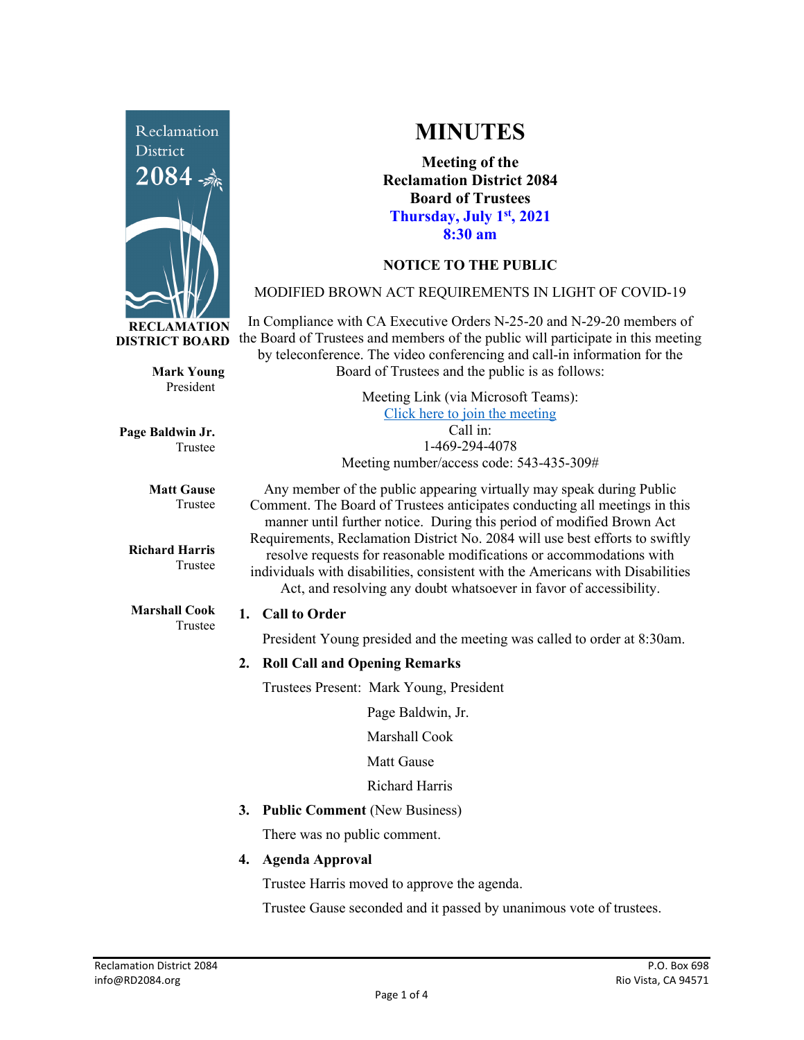

**Mark Young** President

Trustee

Trustee

**Matt Gause** Trustee

**Richard Harris**

**Marshall Cook** Trustee

**Page Baldwin Jr.**

**MINUTES**

**Meeting of the Reclamation District 2084 Board of Trustees Thursday, July 1st, 2021 8:30 am**

# **NOTICE TO THE PUBLIC**

## MODIFIED BROWN ACT REQUIREMENTS IN LIGHT OF COVID-19

In Compliance with CA Executive Orders N-25-20 and N-29-20 members of the Board of Trustees and members of the public will participate in this meeting by teleconference. The video conferencing and call-in information for the Board of Trustees and the public is as follows:

> Meeting Link (via Microsoft Teams): [Click here to join the meeting](https://teams.microsoft.com/l/meetup-join/19%3ameeting_Y2UyNWRiYzQtYWY2Mi00MTlhLWI0NDQtMjUzYzk0OWU0NGFi%40thread.v2/0?context=%7b%22Tid%22%3a%22f9038203-c87c-4f0e-b326-970a381acd40%22%2c%22Oid%22%3a%22b6a515a8-4d0a-410e-b81a-1dc60ae8c01d%22%7d) Call in: 1-469-294-4078 Meeting number/access code: 543-435-309#

Any member of the public appearing virtually may speak during Public Comment. The Board of Trustees anticipates conducting all meetings in this manner until further notice. During this period of modified Brown Act Requirements, Reclamation District No. 2084 will use best efforts to swiftly resolve requests for reasonable modifications or accommodations with individuals with disabilities, consistent with the Americans with Disabilities Act, and resolving any doubt whatsoever in favor of accessibility.

### **1. Call to Order**

President Young presided and the meeting was called to order at 8:30am.

## **2. Roll Call and Opening Remarks**

Trustees Present:Mark Young, President

Page Baldwin, Jr.

Marshall Cook

Matt Gause

Richard Harris

**3. Public Comment** (New Business)

There was no public comment.

**4. Agenda Approval**

Trustee Harris moved to approve the agenda.

Trustee Gause seconded and it passed by unanimous vote of trustees.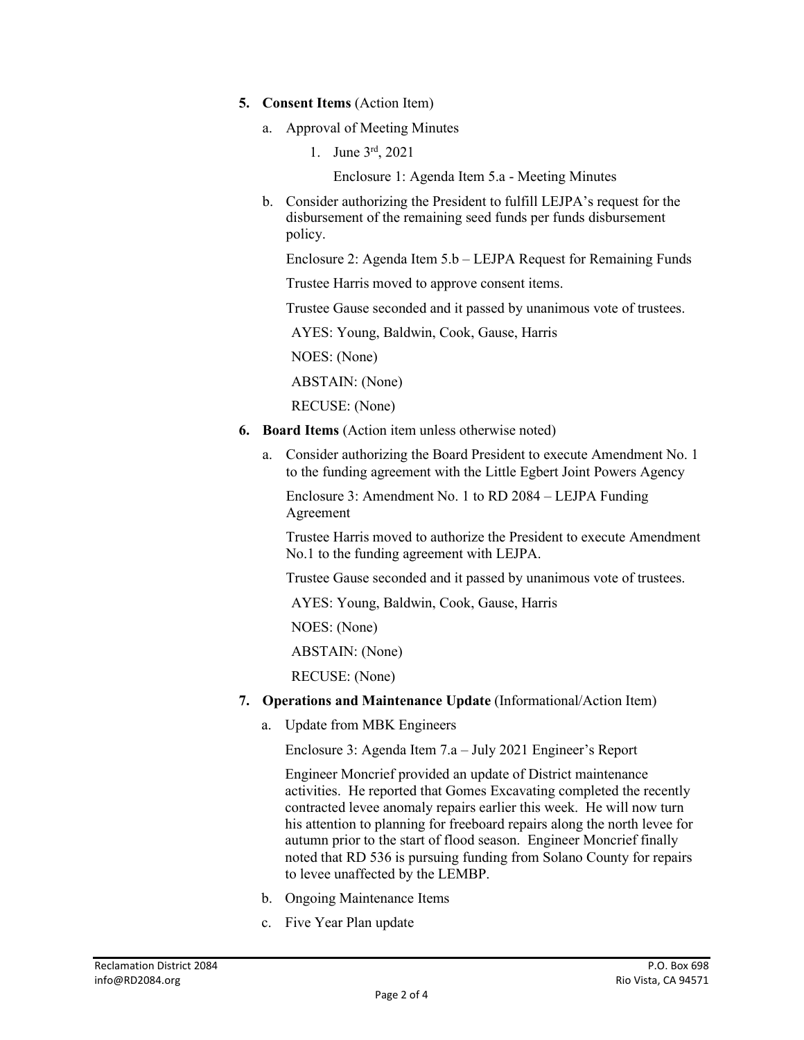- **5. Consent Items** (Action Item)
	- a. Approval of Meeting Minutes
		- 1. June 3rd, 2021

Enclosure 1: Agenda Item 5.a - Meeting Minutes

b. Consider authorizing the President to fulfill LEJPA's request for the disbursement of the remaining seed funds per funds disbursement policy.

Enclosure 2: Agenda Item 5.b – LEJPA Request for Remaining Funds

Trustee Harris moved to approve consent items.

Trustee Gause seconded and it passed by unanimous vote of trustees.

AYES: Young, Baldwin, Cook, Gause, Harris

NOES: (None)

ABSTAIN: (None)

RECUSE: (None)

- **6. Board Items** (Action item unless otherwise noted)
	- a. Consider authorizing the Board President to execute Amendment No. 1 to the funding agreement with the Little Egbert Joint Powers Agency

Enclosure 3: Amendment No. 1 to RD 2084 – LEJPA Funding Agreement

Trustee Harris moved to authorize the President to execute Amendment No.1 to the funding agreement with LEJPA.

Trustee Gause seconded and it passed by unanimous vote of trustees.

AYES: Young, Baldwin, Cook, Gause, Harris

NOES: (None)

ABSTAIN: (None)

RECUSE: (None)

- **7. Operations and Maintenance Update** (Informational/Action Item)
	- a. Update from MBK Engineers

Enclosure 3: Agenda Item 7.a – July 2021 Engineer's Report

Engineer Moncrief provided an update of District maintenance activities. He reported that Gomes Excavating completed the recently contracted levee anomaly repairs earlier this week. He will now turn his attention to planning for freeboard repairs along the north levee for autumn prior to the start of flood season. Engineer Moncrief finally noted that RD 536 is pursuing funding from Solano County for repairs to levee unaffected by the LEMBP.

- b. Ongoing Maintenance Items
- c. Five Year Plan update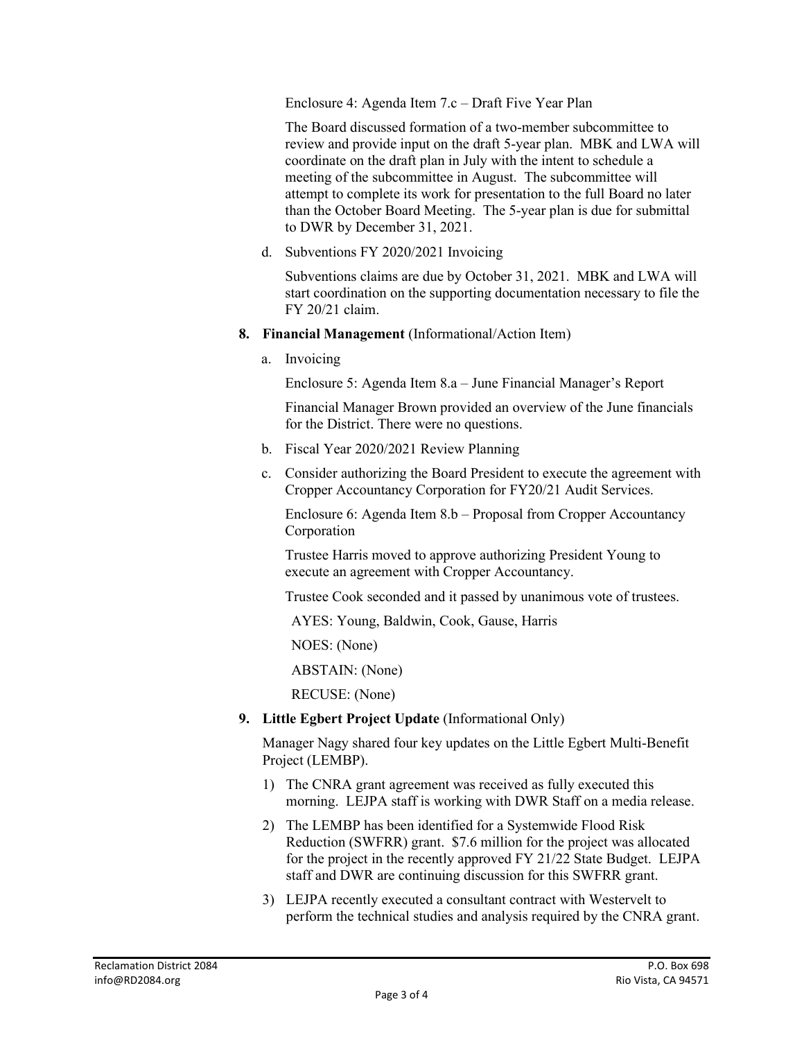Enclosure 4: Agenda Item 7.c – Draft Five Year Plan

The Board discussed formation of a two-member subcommittee to review and provide input on the draft 5-year plan. MBK and LWA will coordinate on the draft plan in July with the intent to schedule a meeting of the subcommittee in August. The subcommittee will attempt to complete its work for presentation to the full Board no later than the October Board Meeting. The 5-year plan is due for submittal to DWR by December 31, 2021.

d. Subventions FY 2020/2021 Invoicing

Subventions claims are due by October 31, 2021. MBK and LWA will start coordination on the supporting documentation necessary to file the FY 20/21 claim.

- **8. Financial Management** (Informational/Action Item)
	- a. Invoicing

Enclosure 5: Agenda Item 8.a – June Financial Manager's Report

Financial Manager Brown provided an overview of the June financials for the District. There were no questions.

- b. Fiscal Year 2020/2021 Review Planning
- c. Consider authorizing the Board President to execute the agreement with Cropper Accountancy Corporation for FY20/21 Audit Services.

Enclosure 6: Agenda Item 8.b – Proposal from Cropper Accountancy Corporation

Trustee Harris moved to approve authorizing President Young to execute an agreement with Cropper Accountancy.

Trustee Cook seconded and it passed by unanimous vote of trustees.

AYES: Young, Baldwin, Cook, Gause, Harris

NOES: (None)

ABSTAIN: (None)

RECUSE: (None)

**9. Little Egbert Project Update** (Informational Only)

Manager Nagy shared four key updates on the Little Egbert Multi-Benefit Project (LEMBP).

- 1) The CNRA grant agreement was received as fully executed this morning. LEJPA staff is working with DWR Staff on a media release.
- 2) The LEMBP has been identified for a Systemwide Flood Risk Reduction (SWFRR) grant. \$7.6 million for the project was allocated for the project in the recently approved FY 21/22 State Budget. LEJPA staff and DWR are continuing discussion for this SWFRR grant.
- 3) LEJPA recently executed a consultant contract with Westervelt to perform the technical studies and analysis required by the CNRA grant.